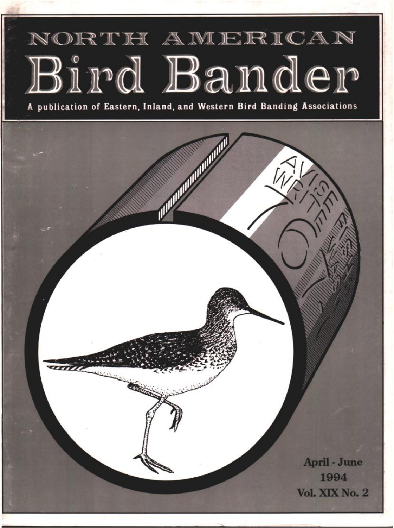# NORTH AMERICAN Bird Bander

**publication of Eastern, Inland, and Western Bird Banding Associations**